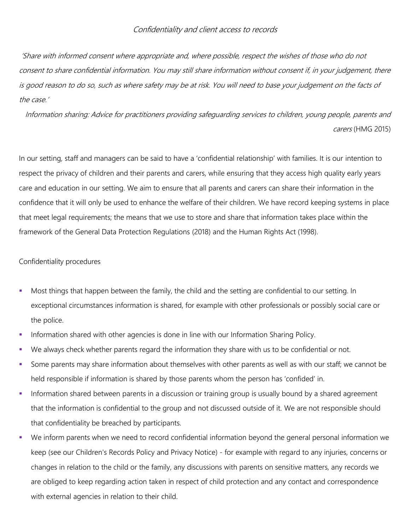## Confidentiality and client access to records

'Share with informed consent where appropriate and, where possible, respect the wishes of those who do not consent to share confidential information. You may still share information without consent if, in your judgement, there is good reason to do so, such as where safety may be at risk. You will need to base your judgement on the facts of the case.'

Information sharing: Advice for practitioners providing safeguarding services to children, young people, parents and carers (HMG 2015)

In our setting, staff and managers can be said to have a 'confidential relationship' with families. It is our intention to respect the privacy of children and their parents and carers, while ensuring that they access high quality early years care and education in our setting. We aim to ensure that all parents and carers can share their information in the confidence that it will only be used to enhance the welfare of their children. We have record keeping systems in place that meet legal requirements; the means that we use to store and share that information takes place within the framework of the General Data Protection Regulations (2018) and the Human Rights Act (1998).

## Confidentiality procedures

- Most things that happen between the family, the child and the setting are confidential to our setting. In exceptional circumstances information is shared, for example with other professionals or possibly social care or the police.
- **Information shared with other agencies is done in line with our Information Sharing Policy.**
- We always check whether parents regard the information they share with us to be confidential or not.
- Some parents may share information about themselves with other parents as well as with our staff; we cannot be held responsible if information is shared by those parents whom the person has 'confided' in.
- Information shared between parents in a discussion or training group is usually bound by a shared agreement that the information is confidential to the group and not discussed outside of it. We are not responsible should that confidentiality be breached by participants.
- We inform parents when we need to record confidential information beyond the general personal information we keep (see our Children's Records Policy and Privacy Notice) - for example with regard to any injuries, concerns or changes in relation to the child or the family, any discussions with parents on sensitive matters, any records we are obliged to keep regarding action taken in respect of child protection and any contact and correspondence with external agencies in relation to their child.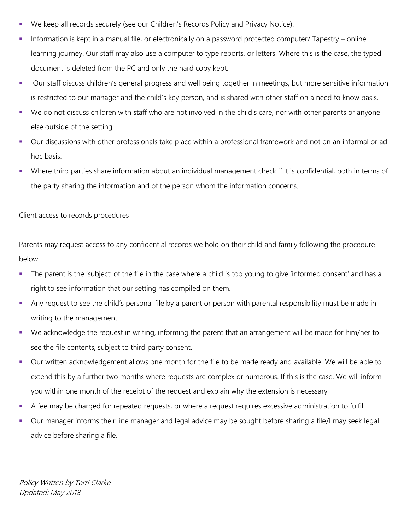- We keep all records securely (see our Children's Records Policy and Privacy Notice).
- $\bullet$  Information is kept in a manual file, or electronically on a password protected computer/ Tapestry online learning journey. Our staff may also use a computer to type reports, or letters. Where this is the case, the typed document is deleted from the PC and only the hard copy kept.
- Our staff discuss children's general progress and well being together in meetings, but more sensitive information is restricted to our manager and the child's key person, and is shared with other staff on a need to know basis.
- We do not discuss children with staff who are not involved in the child's care, nor with other parents or anyone else outside of the setting.
- Our discussions with other professionals take place within a professional framework and not on an informal or adhoc basis.
- Where third parties share information about an individual management check if it is confidential, both in terms of the party sharing the information and of the person whom the information concerns.

## Client access to records procedures

Parents may request access to any confidential records we hold on their child and family following the procedure below:

- The parent is the 'subject' of the file in the case where a child is too young to give 'informed consent' and has a right to see information that our setting has compiled on them.
- Any request to see the child's personal file by a parent or person with parental responsibility must be made in writing to the management.
- We acknowledge the request in writing, informing the parent that an arrangement will be made for him/her to see the file contents, subject to third party consent.
- Our written acknowledgement allows one month for the file to be made ready and available. We will be able to extend this by a further two months where requests are complex or numerous. If this is the case, We will inform you within one month of the receipt of the request and explain why the extension is necessary
- A fee may be charged for repeated requests, or where a request requires excessive administration to fulfil.
- Our manager informs their line manager and legal advice may be sought before sharing a file/I may seek legal advice before sharing a file.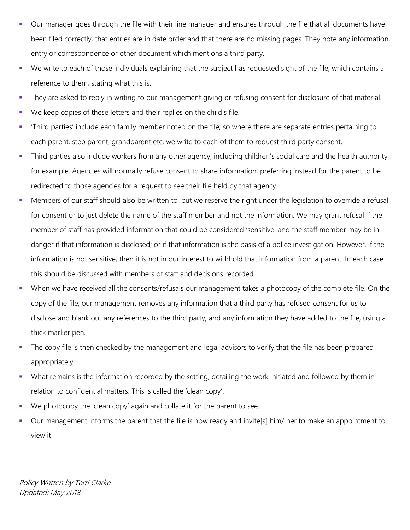- Our manager goes through the file with their line manager and ensures through the file that all documents have been filed correctly, that entries are in date order and that there are no missing pages. They note any information, entry or correspondence or other document which mentions a third party.
- We write to each of those individuals explaining that the subject has requested sight of the file, which contains a reference to them, stating what this is.
- They are asked to reply in writing to our management giving or refusing consent for disclosure of that material.
- We keep copies of these letters and their replies on the child's file.
- 'Third parties' include each family member noted on the file; so where there are separate entries pertaining to each parent, step parent, grandparent etc. we write to each of them to request third party consent.
- Third parties also include workers from any other agency, including children's social care and the health authority for example. Agencies will normally refuse consent to share information, preferring instead for the parent to be redirected to those agencies for a request to see their file held by that agency.
- Members of our staff should also be written to, but we reserve the right under the legislation to override a refusal for consent or to just delete the name of the staff member and not the information. We may grant refusal if the member of staff has provided information that could be considered 'sensitive' and the staff member may be in danger if that information is disclosed; or if that information is the basis of a police investigation. However, if the information is not sensitive, then it is not in our interest to withhold that information from a parent. In each case this should be discussed with members of staff and decisions recorded.
- When we have received all the consents/refusals our management takes a photocopy of the complete file. On the copy of the file, our management removes any information that a third party has refused consent for us to disclose and blank out any references to the third party, and any information they have added to the file, using a thick marker pen.
- The copy file is then checked by the management and legal advisors to verify that the file has been prepared appropriately.
- What remains is the information recorded by the setting, detailing the work initiated and followed by them in relation to confidential matters. This is called the 'clean copy'.
- We photocopy the 'clean copy' again and collate it for the parent to see.
- Our management informs the parent that the file is now ready and invite[s] him/ her to make an appointment to view it.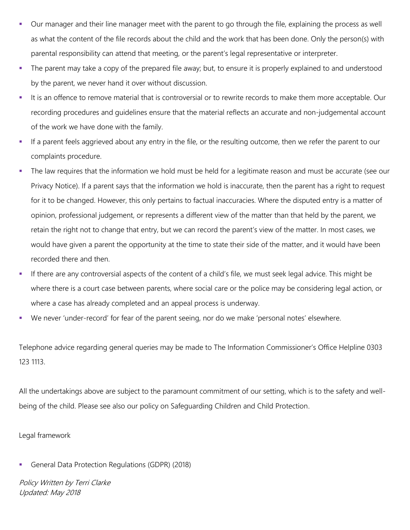- Our manager and their line manager meet with the parent to go through the file, explaining the process as well as what the content of the file records about the child and the work that has been done. Only the person(s) with parental responsibility can attend that meeting, or the parent's legal representative or interpreter.
- The parent may take a copy of the prepared file away; but, to ensure it is properly explained to and understood by the parent, we never hand it over without discussion.
- It is an offence to remove material that is controversial or to rewrite records to make them more acceptable. Our recording procedures and guidelines ensure that the material reflects an accurate and non-judgemental account of the work we have done with the family.
- If a parent feels aggrieved about any entry in the file, or the resulting outcome, then we refer the parent to our complaints procedure.
- The law requires that the information we hold must be held for a legitimate reason and must be accurate (see our Privacy Notice). If a parent says that the information we hold is inaccurate, then the parent has a right to request for it to be changed. However, this only pertains to factual inaccuracies. Where the disputed entry is a matter of opinion, professional judgement, or represents a different view of the matter than that held by the parent, we retain the right not to change that entry, but we can record the parent's view of the matter. In most cases, we would have given a parent the opportunity at the time to state their side of the matter, and it would have been recorded there and then.
- If there are any controversial aspects of the content of a child's file, we must seek legal advice. This might be where there is a court case between parents, where social care or the police may be considering legal action, or where a case has already completed and an appeal process is underway.
- We never 'under-record' for fear of the parent seeing, nor do we make 'personal notes' elsewhere.

Telephone advice regarding general queries may be made to The Information Commissioner's Office Helpline 0303 123 1113.

All the undertakings above are subject to the paramount commitment of our setting, which is to the safety and wellbeing of the child. Please see also our policy on Safeguarding Children and Child Protection.

Legal framework

General Data Protection Regulations (GDPR) (2018)